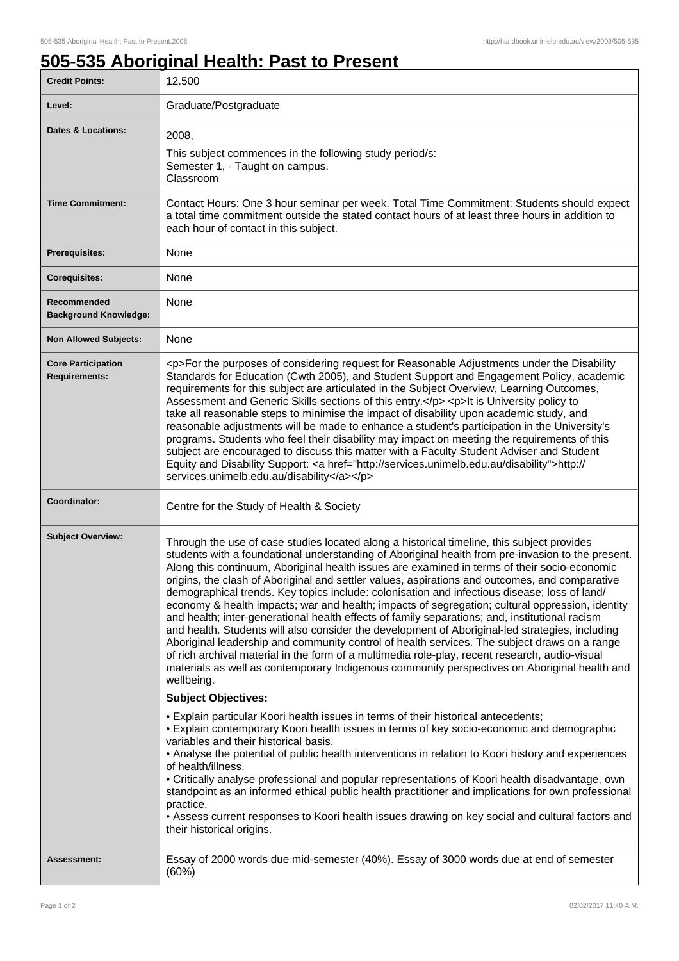٦

## **505-535 Aboriginal Health: Past to Present**

| <b>Credit Points:</b>                             | 12.500                                                                                                                                                                                                                                                                                                                                                                                                                                                                                                                                                                                                                                                                                                                                                                                                                                                                                                                                                                                                                                                                                                                    |
|---------------------------------------------------|---------------------------------------------------------------------------------------------------------------------------------------------------------------------------------------------------------------------------------------------------------------------------------------------------------------------------------------------------------------------------------------------------------------------------------------------------------------------------------------------------------------------------------------------------------------------------------------------------------------------------------------------------------------------------------------------------------------------------------------------------------------------------------------------------------------------------------------------------------------------------------------------------------------------------------------------------------------------------------------------------------------------------------------------------------------------------------------------------------------------------|
| Level:                                            | Graduate/Postgraduate                                                                                                                                                                                                                                                                                                                                                                                                                                                                                                                                                                                                                                                                                                                                                                                                                                                                                                                                                                                                                                                                                                     |
| <b>Dates &amp; Locations:</b>                     | 2008,<br>This subject commences in the following study period/s:<br>Semester 1, - Taught on campus.<br>Classroom                                                                                                                                                                                                                                                                                                                                                                                                                                                                                                                                                                                                                                                                                                                                                                                                                                                                                                                                                                                                          |
| <b>Time Commitment:</b>                           | Contact Hours: One 3 hour seminar per week. Total Time Commitment: Students should expect<br>a total time commitment outside the stated contact hours of at least three hours in addition to<br>each hour of contact in this subject.                                                                                                                                                                                                                                                                                                                                                                                                                                                                                                                                                                                                                                                                                                                                                                                                                                                                                     |
| <b>Prerequisites:</b>                             | None                                                                                                                                                                                                                                                                                                                                                                                                                                                                                                                                                                                                                                                                                                                                                                                                                                                                                                                                                                                                                                                                                                                      |
| <b>Corequisites:</b>                              | None                                                                                                                                                                                                                                                                                                                                                                                                                                                                                                                                                                                                                                                                                                                                                                                                                                                                                                                                                                                                                                                                                                                      |
| Recommended<br><b>Background Knowledge:</b>       | None                                                                                                                                                                                                                                                                                                                                                                                                                                                                                                                                                                                                                                                                                                                                                                                                                                                                                                                                                                                                                                                                                                                      |
| <b>Non Allowed Subjects:</b>                      | None                                                                                                                                                                                                                                                                                                                                                                                                                                                                                                                                                                                                                                                                                                                                                                                                                                                                                                                                                                                                                                                                                                                      |
| <b>Core Participation</b><br><b>Requirements:</b> | <p>For the purposes of considering request for Reasonable Adjustments under the Disability<br/>Standards for Education (Cwth 2005), and Student Support and Engagement Policy, academic<br/>requirements for this subject are articulated in the Subject Overview, Learning Outcomes,<br/>Assessment and Generic Skills sections of this entry.</p> <p>lt is University policy to<br/>take all reasonable steps to minimise the impact of disability upon academic study, and<br/>reasonable adjustments will be made to enhance a student's participation in the University's<br/>programs. Students who feel their disability may impact on meeting the requirements of this<br/>subject are encouraged to discuss this matter with a Faculty Student Adviser and Student<br/>Equity and Disability Support: &lt; a href="http://services.unimelb.edu.au/disability"&gt;http://<br/>services.unimelb.edu.au/disability</p>                                                                                                                                                                                              |
| Coordinator:                                      | Centre for the Study of Health & Society                                                                                                                                                                                                                                                                                                                                                                                                                                                                                                                                                                                                                                                                                                                                                                                                                                                                                                                                                                                                                                                                                  |
| <b>Subject Overview:</b>                          | Through the use of case studies located along a historical timeline, this subject provides<br>students with a foundational understanding of Aboriginal health from pre-invasion to the present.<br>Along this continuum, Aboriginal health issues are examined in terms of their socio-economic<br>origins, the clash of Aboriginal and settler values, aspirations and outcomes, and comparative<br>demographical trends. Key topics include: colonisation and infectious disease; loss of land/<br>economy & health impacts; war and health; impacts of segregation; cultural oppression, identity<br>and health; inter-generational health effects of family separations; and, institutional racism<br>and health. Students will also consider the development of Aboriginal-led strategies, including<br>Aboriginal leadership and community control of health services. The subject draws on a range<br>of rich archival material in the form of a multimedia role-play, recent research, audio-visual<br>materials as well as contemporary Indigenous community perspectives on Aboriginal health and<br>wellbeing. |
|                                                   | <b>Subject Objectives:</b>                                                                                                                                                                                                                                                                                                                                                                                                                                                                                                                                                                                                                                                                                                                                                                                                                                                                                                                                                                                                                                                                                                |
|                                                   | . Explain particular Koori health issues in terms of their historical antecedents;<br>• Explain contemporary Koori health issues in terms of key socio-economic and demographic<br>variables and their historical basis.<br>• Analyse the potential of public health interventions in relation to Koori history and experiences<br>of health/illness.<br>• Critically analyse professional and popular representations of Koori health disadvantage, own<br>standpoint as an informed ethical public health practitioner and implications for own professional<br>practice.<br>• Assess current responses to Koori health issues drawing on key social and cultural factors and<br>their historical origins.                                                                                                                                                                                                                                                                                                                                                                                                              |
| Assessment:                                       | Essay of 2000 words due mid-semester (40%). Essay of 3000 words due at end of semester<br>(60%)                                                                                                                                                                                                                                                                                                                                                                                                                                                                                                                                                                                                                                                                                                                                                                                                                                                                                                                                                                                                                           |